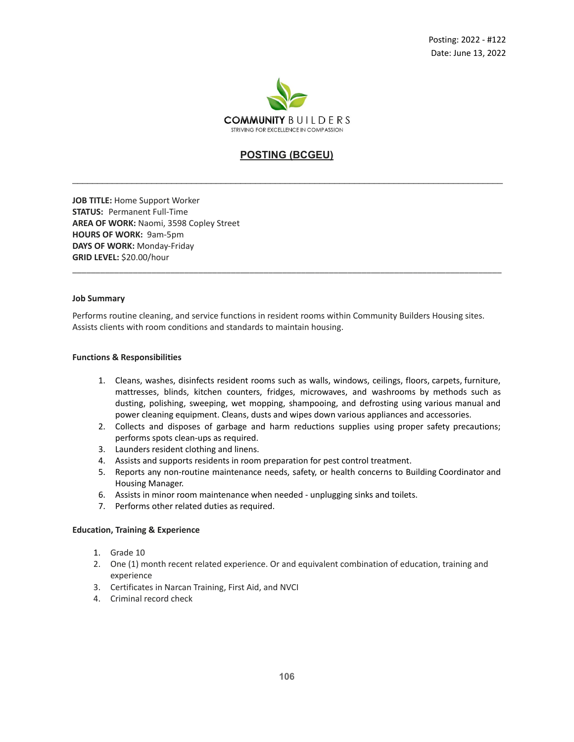

# **POSTING (BCGEU)**

\_\_\_\_\_\_\_\_\_\_\_\_\_\_\_\_\_\_\_\_\_\_\_\_\_\_\_\_\_\_\_\_\_\_\_\_\_\_\_\_\_\_\_\_\_\_\_\_\_\_\_\_\_\_\_\_\_\_\_\_\_\_\_\_\_\_\_\_\_\_\_\_\_\_\_\_\_\_\_\_\_\_\_\_\_\_\_

**JOB TITLE:** Home Support Worker **STATUS:** Permanent Full-Time **AREA OF WORK:** Naomi, 3598 Copley Street **HOURS OF WORK:** 9am-5pm **DAYS OF WORK:** Monday-Friday **GRID LEVEL:** \$20.00/hour

#### **Job Summary**

Performs routine cleaning, and service functions in resident rooms within Community Builders Housing sites. Assists clients with room conditions and standards to maintain housing.

\_\_\_\_\_\_\_\_\_\_\_\_\_\_\_\_\_\_\_\_\_\_\_\_\_\_\_\_\_\_\_\_\_\_\_\_\_\_\_\_\_\_\_\_\_\_\_\_\_\_\_\_\_\_\_\_\_\_\_\_\_\_\_\_\_\_\_\_\_\_\_\_\_\_\_\_\_\_\_\_\_\_\_\_\_\_\_\_\_\_\_\_

### **Functions & Responsibilities**

- 1. Cleans, washes, disinfects resident rooms such as walls, windows, ceilings, floors, carpets, furniture, mattresses, blinds, kitchen counters, fridges, microwaves, and washrooms by methods such as dusting, polishing, sweeping, wet mopping, shampooing, and defrosting using various manual and power cleaning equipment. Cleans, dusts and wipes down various appliances and accessories.
- 2. Collects and disposes of garbage and harm reductions supplies using proper safety precautions; performs spots clean-ups as required.
- 3. Launders resident clothing and linens.
- 4. Assists and supports residents in room preparation for pest control treatment.
- 5. Reports any non-routine maintenance needs, safety, or health concerns to Building Coordinator and Housing Manager.
- 6. Assists in minor room maintenance when needed unplugging sinks and toilets.
- 7. Performs other related duties as required.

## **Education, Training & Experience**

- 1. Grade 10
- 2. One (1) month recent related experience. Or and equivalent combination of education, training and experience
- 3. Certificates in Narcan Training, First Aid, and NVCI
- 4. Criminal record check